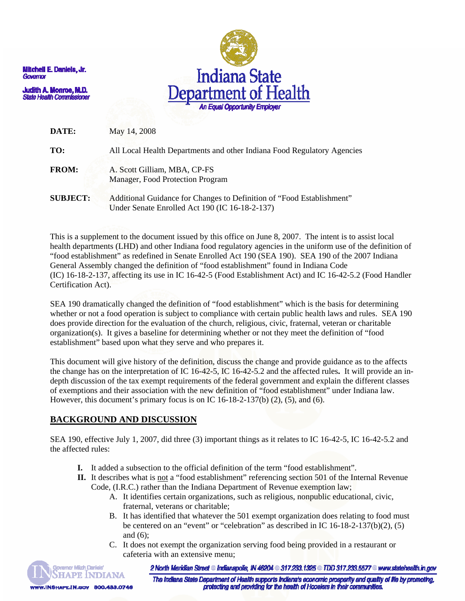Mitchell E. Daniels, Jr. Governor

Judith A. Monroe, M.D. State Health Commissioner



| DATE:           | May 14, 2008                                                                                                            |
|-----------------|-------------------------------------------------------------------------------------------------------------------------|
| TO:             | All Local Health Departments and other Indiana Food Regulatory Agencies                                                 |
| <b>FROM:</b>    | A. Scott Gilliam, MBA, CP-FS<br>Manager, Food Protection Program                                                        |
| <b>SUBJECT:</b> | Additional Guidance for Changes to Definition of "Food Establishment"<br>Under Senate Enrolled Act 190 (IC 16-18-2-137) |

This is a supplement to the document issued by this office on June 8, 2007. The intent is to assist local health departments (LHD) and other Indiana food regulatory agencies in the uniform use of the definition of "food establishment" as redefined in Senate Enrolled Act 190 (SEA 190). SEA 190 of the 2007 Indiana General Assembly changed the definition of "food establishment" found in Indiana Code (IC) 16-18-2-137, affecting its use in IC 16-42-5 (Food Establishment Act) and IC 16-42-5.2 (Food Handler Certification Act).

SEA 190 dramatically changed the definition of "food establishment" which is the basis for determining whether or not a food operation is subject to compliance with certain public health laws and rules. SEA 190 does provide direction for the evaluation of the church, religious, civic, fraternal, veteran or charitable organization(s). It gives a baseline for determining whether or not they meet the definition of "food establishment" based upon what they serve and who prepares it.

This document will give history of the definition, discuss the change and provide guidance as to the affects the change has on the interpretation of IC 16-42-5, IC 16-42-5.2 and the affected rules**.** It will provide an indepth discussion of the tax exempt requirements of the federal government and explain the different classes of exemptions and their association with the new definition of "food establishment" under Indiana law. However, this document's primary focus is on IC  $16-18-2-137(b)$  (2), (5), and (6).

# **BACKGROUND AND DISCUSSION**

SEA 190, effective July 1, 2007, did three (3) important things as it relates to IC 16-42-5, IC 16-42-5.2 and the affected rules:

- **I.** It added a subsection to the official definition of the term "food establishment".
- **II.** It describes what is not a "food establishment" referencing section 501 of the Internal Revenue Code, (I.R.C.) rather than the Indiana Department of Revenue exemption law;
	- A. It identifies certain organizations, such as religious, nonpublic educational, civic, fraternal, veterans or charitable;
	- B. It has identified that whatever the 501 exempt organization does relating to food must be centered on an "event" or "celebration" as described in IC 16-18-2-137(b)(2), (5) and (6);
	- C. It does not exempt the organization serving food being provided in a restaurant or cafeteria with an extensive menu;



WWW.INSHAPE.IN.GOV 800.433.0746

remor Mikch Daniela hape Indiana

The Indiana State Department of Health supports Indiana's economic prosperity and quality of the by promoting, protecting and providing for the health of Hooslers in their communities.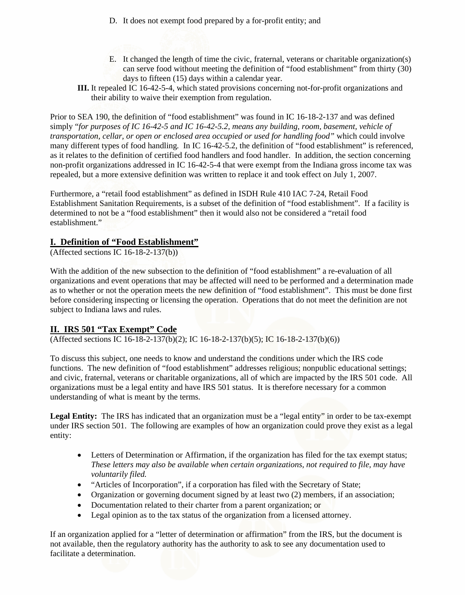- D. It does not exempt food prepared by a for-profit entity; and
- E. It changed the length of time the civic, fraternal, veterans or charitable organization(s) can serve food without meeting the definition of "food establishment" from thirty (30) days to fifteen (15) days within a calendar year.
- **III.** It repealed IC 16-42-5-4, which stated provisions concerning not-for-profit organizations and their ability to waive their exemption from regulation.

Prior to SEA 190, the definition of "food establishment" was found in IC 16-18-2-137 and was defined simply "*for purposes of IC 16-42-5 and IC 16-42-5.2, means any building, room, basement, vehicle of transportation, cellar, or open or enclosed area occupied or used for handling food"* which could involve many different types of food handling. In IC 16-42-5.2, the definition of "food establishment" is referenced, as it relates to the definition of certified food handlers and food handler. In addition, the section concerning non-profit organizations addressed in IC 16-42-5-4 that were exempt from the Indiana gross income tax was repealed, but a more extensive definition was written to replace it and took effect on July 1, 2007.

Furthermore, a "retail food establishment" as defined in ISDH Rule 410 IAC 7-24, Retail Food Establishment Sanitation Requirements, is a subset of the definition of "food establishment". If a facility is determined to not be a "food establishment" then it would also not be considered a "retail food establishment."

# **I. Definition of "Food Establishment"**

(Affected sections IC 16-18-2-137(b))

With the addition of the new subsection to the definition of "food establishment" a re-evaluation of all organizations and event operations that may be affected will need to be performed and a determination made as to whether or not the operation meets the new definition of "food establishment". This must be done first before considering inspecting or licensing the operation. Operations that do not meet the definition are not subject to Indiana laws and rules.

# **II. IRS 501 "Tax Exempt" Code**

(Affected sections IC 16-18-2-137(b)(2); IC 16-18-2-137(b)(5); IC 16-18-2-137(b)(6))

To discuss this subject, one needs to know and understand the conditions under which the IRS code functions. The new definition of "food establishment" addresses religious; nonpublic educational settings; and civic, fraternal, veterans or charitable organizations, all of which are impacted by the IRS 501 code. All organizations must be a legal entity and have IRS 501 status. It is therefore necessary for a common understanding of what is meant by the terms.

**Legal Entity:** The IRS has indicated that an organization must be a "legal entity" in order to be tax-exempt under IRS section 501. The following are examples of how an organization could prove they exist as a legal entity:

- Letters of Determination or Affirmation, if the organization has filed for the tax exempt status; *These letters may also be available when certain organizations, not required to file, may have voluntarily filed.*
- "Articles of Incorporation", if a corporation has filed with the Secretary of State;
- Organization or governing document signed by at least two (2) members, if an association;
- Documentation related to their charter from a parent organization; or
- Legal opinion as to the tax status of the organization from a licensed attorney.

If an organization applied for a "letter of determination or affirmation" from the IRS, but the document is not available, then the regulatory authority has the authority to ask to see any documentation used to facilitate a determination.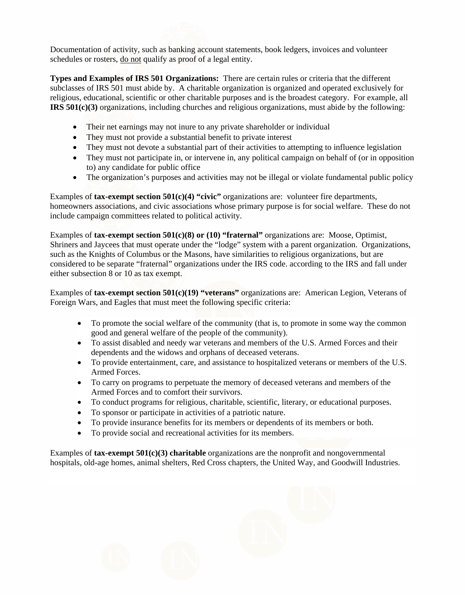Documentation of activity, such as banking account statements, book ledgers, invoices and volunteer schedules or rosters, do not qualify as proof of a legal entity.

**Types and Examples of IRS 501 Organizations:** There are certain rules or criteria that the different subclasses of IRS 501 must abide by. A charitable organization is organized and operated exclusively for religious, educational, scientific or other charitable purposes and is the broadest category. For example, all **IRS 501(c)(3)** organizations, including churches and religious organizations, must abide by the following:

- Their net earnings may not inure to any private shareholder or individual
- They must not provide a substantial benefit to private interest
- They must not devote a substantial part of their activities to attempting to influence legislation
- They must not participate in, or intervene in, any political campaign on behalf of (or in opposition to) any candidate for public office
- The organization's purposes and activities may not be illegal or violate fundamental public policy

Examples of **tax-exempt section 501(c)(4) "civic"** organizations are: volunteer fire departments, homeowners associations, and civic associations whose primary purpose is for social welfare. These do not include campaign committees related to political activity.

Examples of **tax-exempt section 501(c)(8) or (10) "fraternal"** organizations are: Moose, Optimist, Shriners and Jaycees that must operate under the "lodge" system with a parent organization. Organizations, such as the Knights of Columbus or the Masons, have similarities to religious organizations, but are considered to be separate "fraternal" organizations under the IRS code. according to the IRS and fall under either subsection 8 or 10 as tax exempt.

Examples of **tax-exempt section 501(c)(19) "veterans"** organizations are: American Legion, Veterans of Foreign Wars, and Eagles that must meet the following specific criteria:

- To promote the social welfare of the community (that is, to promote in some way the common good and general welfare of the people of the community).
- To assist disabled and needy war veterans and members of the U.S. Armed Forces and their dependents and the widows and orphans of deceased veterans.
- To provide entertainment, care, and assistance to hospitalized veterans or members of the U.S. Armed Forces.
- To carry on programs to perpetuate the memory of deceased veterans and members of the Armed Forces and to comfort their survivors.
- To conduct programs for religious, charitable, scientific, literary, or educational purposes.
- To sponsor or participate in activities of a patriotic nature.
- To provide insurance benefits for its members or dependents of its members or both.
- To provide social and recreational activities for its members.

Examples of **tax-exempt 501(c)(3) charitable** organizations are the nonprofit and nongovernmental hospitals, old-age homes, animal shelters, Red Cross chapters, the United Way, and Goodwill Industries.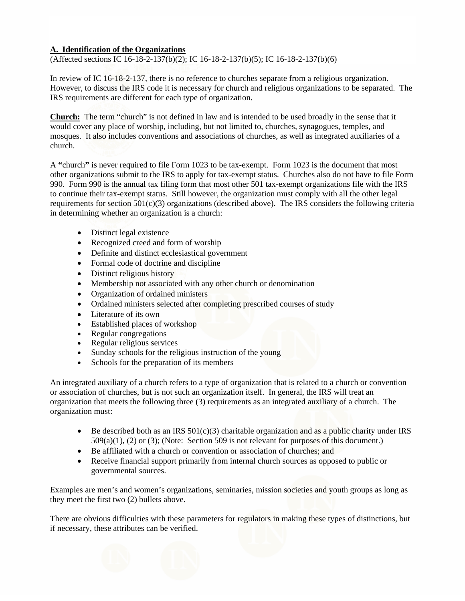# **A. Identification of the Organizations**

(Affected sections IC 16-18-2-137(b)(2); IC 16-18-2-137(b)(5); IC 16-18-2-137(b)(6)

In review of IC 16-18-2-137, there is no reference to churches separate from a religious organization. However, to discuss the IRS code it is necessary for church and religious organizations to be separated. The IRS requirements are different for each type of organization.

**Church:** The term "church" is not defined in law and is intended to be used broadly in the sense that it would cover any place of worship, including, but not limited to, churches, synagogues, temples, and mosques. It also includes conventions and associations of churches, as well as integrated auxiliaries of a church.

A **"**church**"** is never required to file Form 1023 to be tax-exempt. Form 1023 is the document that most other organizations submit to the IRS to apply for tax-exempt status. Churches also do not have to file Form 990. Form 990 is the annual tax filing form that most other 501 tax-exempt organizations file with the IRS to continue their tax-exempt status. Still however, the organization must comply with all the other legal requirements for section 501(c)(3) organizations (described above). The IRS considers the following criteria in determining whether an organization is a church:

- Distinct legal existence
- Recognized creed and form of worship
- Definite and distinct ecclesiastical government
- Formal code of doctrine and discipline
- Distinct religious history
- Membership not associated with any other church or denomination
- Organization of ordained ministers
- Ordained ministers selected after completing prescribed courses of study
- Literature of its own
- Established places of workshop
- Regular congregations
- Regular religious services
- Sunday schools for the religious instruction of the young
- Schools for the preparation of its members

An integrated auxiliary of a church refers to a type of organization that is related to a church or convention or association of churches, but is not such an organization itself. In general, the IRS will treat an organization that meets the following three (3) requirements as an integrated auxiliary of a church. The organization must:

- Be described both as an IRS  $501(c)(3)$  charitable organization and as a public charity under IRS  $509(a)(1)$ ,  $(2)$  or  $(3)$ ; (Note: Section 509 is not relevant for purposes of this document.)
- Be affiliated with a church or convention or association of churches; and
- Receive financial support primarily from internal church sources as opposed to public or governmental sources.

Examples are men's and women's organizations, seminaries, mission societies and youth groups as long as they meet the first two (2) bullets above.

There are obvious difficulties with these parameters for regulators in making these types of distinctions, but if necessary, these attributes can be verified.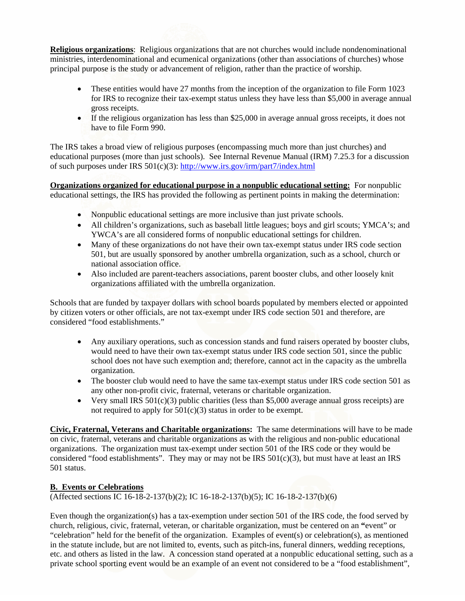**Religious organizations**: Religious organizations that are not churches would include nondenominational ministries, interdenominational and ecumenical organizations (other than associations of churches) whose principal purpose is the study or advancement of religion, rather than the practice of worship.

- These entities would have 27 months from the inception of the organization to file Form 1023 for IRS to recognize their tax-exempt status unless they have less than \$5,000 in average annual gross receipts.
- If the religious organization has less than \$25,000 in average annual gross receipts, it does not have to file Form 990.

The IRS takes a broad view of religious purposes (encompassing much more than just churches) and educational purposes (more than just schools). See Internal Revenue Manual (IRM) 7.25.3 for a discussion of such purposes under IRS 501(c)(3): http://www.irs.gov/irm/part7/index.html

**Organizations organized for educational purpose in a nonpublic educational setting:** For nonpublic educational settings, the IRS has provided the following as pertinent points in making the determination:

- Nonpublic educational settings are more inclusive than just private schools.
- All children's organizations, such as baseball little leagues; boys and girl scouts; YMCA's; and YWCA's are all considered forms of nonpublic educational settings for children.
- Many of these organizations do not have their own tax-exempt status under IRS code section 501, but are usually sponsored by another umbrella organization, such as a school, church or national association office.
- Also included are parent-teachers associations, parent booster clubs, and other loosely knit organizations affiliated with the umbrella organization.

Schools that are funded by taxpayer dollars with school boards populated by members elected or appointed by citizen voters or other officials, are not tax-exempt under IRS code section 501 and therefore, are considered "food establishments."

- Any auxiliary operations, such as concession stands and fund raisers operated by booster clubs, would need to have their own tax-exempt status under IRS code section 501, since the public school does not have such exemption and; therefore, cannot act in the capacity as the umbrella organization.
- The booster club would need to have the same tax-exempt status under IRS code section 501 as any other non-profit civic, fraternal, veterans or charitable organization.
- Very small IRS  $501(c)(3)$  public charities (less than \$5,000 average annual gross receipts) are not required to apply for 501(c)(3) status in order to be exempt.

**Civic, Fraternal, Veterans and Charitable organizations:** The same determinations will have to be made on civic, fraternal, veterans and charitable organizations as with the religious and non-public educational organizations. The organization must tax-exempt under section 501 of the IRS code or they would be considered "food establishments". They may or may not be IRS  $501(c)(3)$ , but must have at least an IRS 501 status.

# **B. Events or Celebrations**

(Affected sections IC 16-18-2-137(b)(2); IC 16-18-2-137(b)(5); IC 16-18-2-137(b)(6)

Even though the organization(s) has a tax-exemption under section 501 of the IRS code, the food served by church, religious, civic, fraternal, veteran, or charitable organization, must be centered on an **"**event" or "celebration" held for the benefit of the organization. Examples of event(s) or celebration(s), as mentioned in the statute include, but are not limited to, events, such as pitch-ins, funeral dinners, wedding receptions, etc. and others as listed in the law. A concession stand operated at a nonpublic educational setting, such as a private school sporting event would be an example of an event not considered to be a "food establishment",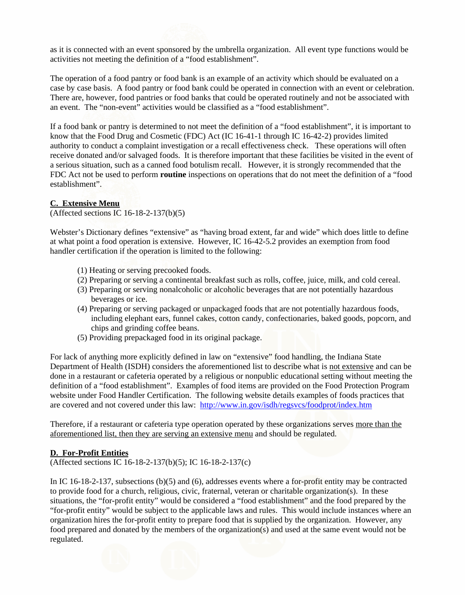as it is connected with an event sponsored by the umbrella organization. All event type functions would be activities not meeting the definition of a "food establishment".

The operation of a food pantry or food bank is an example of an activity which should be evaluated on a case by case basis. A food pantry or food bank could be operated in connection with an event or celebration. There are, however, food pantries or food banks that could be operated routinely and not be associated with an event. The "non-event" activities would be classified as a "food establishment".

If a food bank or pantry is determined to not meet the definition of a "food establishment", it is important to know that the Food Drug and Cosmetic (FDC) Act (IC 16-41-1 through IC 16-42-2) provides limited authority to conduct a complaint investigation or a recall effectiveness check. These operations will often receive donated and/or salvaged foods. It is therefore important that these facilities be visited in the event of a serious situation, such as a canned food botulism recall. However, it is strongly recommended that the FDC Act not be used to perform **routine** inspections on operations that do not meet the definition of a "food establishment".

# **C. Extensive Menu**

(Affected sections IC 16-18-2-137(b)(5)

Webster's Dictionary defines "extensive" as "having broad extent, far and wide" which does little to define at what point a food operation is extensive. However, IC 16-42-5.2 provides an exemption from food handler certification if the operation is limited to the following:

- (1) Heating or serving precooked foods.
- (2) Preparing or serving a continental breakfast such as rolls, coffee, juice, milk, and cold cereal.
- (3) Preparing or serving nonalcoholic or alcoholic beverages that are not potentially hazardous beverages or ice.
- (4) Preparing or serving packaged or unpackaged foods that are not potentially hazardous foods, including elephant ears, funnel cakes, cotton candy, confectionaries, baked goods, popcorn, and chips and grinding coffee beans.
- (5) Providing prepackaged food in its original package.

For lack of anything more explicitly defined in law on "extensive" food handling, the Indiana State Department of Health (ISDH) considers the aforementioned list to describe what is not extensive and can be done in a restaurant or cafeteria operated by a religious or nonpublic educational setting without meeting the definition of a "food establishment". Examples of food items are provided on the Food Protection Program website under Food Handler Certification. The following website details examples of foods practices that are covered and not covered under this law: <http://www.in.gov/isdh/regsvcs/foodprot/index.htm>

Therefore, if a restaurant or cafeteria type operation operated by these organizations serves more than the aforementioned list, then they are serving an extensive menu and should be regulated.

#### **D. For-Profit Entities**

(Affected sections IC 16-18-2-137(b)(5); IC 16-18-2-137(c)

In IC 16-18-2-137, subsections (b)(5) and (6), addresses events where a for-profit entity may be contracted to provide food for a church, religious, civic, fraternal, veteran or charitable organization(s). In these situations, the "for-profit entity" would be considered a "food establishment" and the food prepared by the "for-profit entity" would be subject to the applicable laws and rules. This would include instances where an organization hires the for-profit entity to prepare food that is supplied by the organization. However, any food prepared and donated by the members of the organization(s) and used at the same event would not be regulated.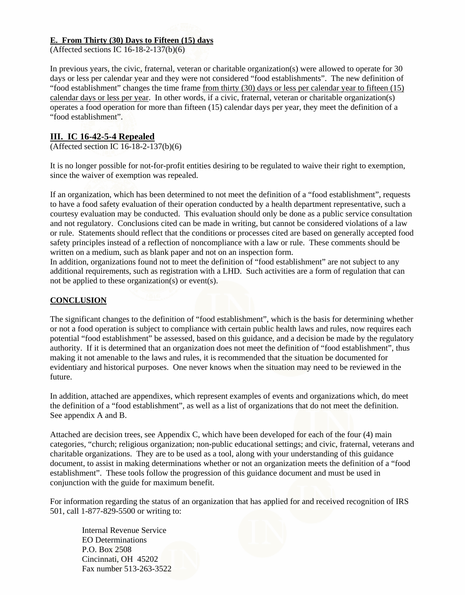# **E. From Thirty (30) Days to Fifteen (15) days**

(Affected sections IC 16-18-2-137(b)(6)

In previous years, the civic, fraternal, veteran or charitable organization(s) were allowed to operate for 30 days or less per calendar year and they were not considered "food establishments". The new definition of "food establishment" changes the time frame from thirty (30) days or less per calendar year to fifteen (15) calendar days or less per year.In other words, if a civic, fraternal, veteran or charitable organization(s) operates a food operation for more than fifteen (15) calendar days per year, they meet the definition of a "food establishment".

## **III. IC 16-42-5-4 Repealed**

(Affected section IC 16-18-2-137(b)(6)

It is no longer possible for not-for-profit entities desiring to be regulated to waive their right to exemption, since the waiver of exemption was repealed.

If an organization, which has been determined to not meet the definition of a "food establishment", requests to have a food safety evaluation of their operation conducted by a health department representative, such a courtesy evaluation may be conducted. This evaluation should only be done as a public service consultation and not regulatory. Conclusions cited can be made in writing, but cannot be considered violations of a law or rule. Statements should reflect that the conditions or processes cited are based on generally accepted food safety principles instead of a reflection of noncompliance with a law or rule. These comments should be written on a medium, such as blank paper and not on an inspection form.

In addition, organizations found not to meet the definition of "food establishment" are not subject to any additional requirements, such as registration with a LHD. Such activities are a form of regulation that can not be applied to these organization(s) or event(s).

## **CONCLUSION**

The significant changes to the definition of "food establishment", which is the basis for determining whether or not a food operation is subject to compliance with certain public health laws and rules, now requires each potential "food establishment" be assessed, based on this guidance, and a decision be made by the regulatory authority. If it is determined that an organization does not meet the definition of "food establishment", thus making it not amenable to the laws and rules, it is recommended that the situation be documented for evidentiary and historical purposes. One never knows when the situation may need to be reviewed in the future.

In addition, attached are appendixes, which represent examples of events and organizations which, do meet the definition of a "food establishment", as well as a list of organizations that do not meet the definition. See appendix A and B.

Attached are decision trees, see Appendix C, which have been developed for each of the four (4) main categories, "church; religious organization; non-public educational settings; and civic, fraternal, veterans and charitable organizations. They are to be used as a tool, along with your understanding of this guidance document, to assist in making determinations whether or not an organization meets the definition of a "food establishment". These tools follow the progression of this guidance document and must be used in conjunction with the guide for maximum benefit.

For information regarding the status of an organization that has applied for and received recognition of IRS 501, call 1-877-829-5500 or writing to:

Internal Revenue Service EO Determinations P.O. Box 2508 Cincinnati, OH 45202 Fax number 513-263-3522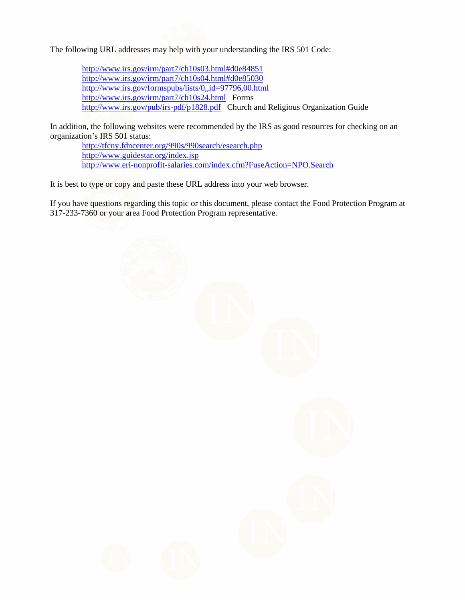The following URL addresses may help with your understanding the IRS 501 Code:

<http://www.irs.gov/irm/part7/ch10s03.html#d0e84851> <http://www.irs.gov/irm/part7/ch10s04.html#d0e85030> <http://www.irs.gov/formspubs/lists/0,,id=97796,00.html> <http://www.irs.gov/irm/part7/ch10s24.html>Forms <http://www.irs.gov/pub/irs-pdf/p1828.pdf> Church and Religious Organization Guide

In addition, the following websites were recommended by the IRS as good resources for checking on an organization's IRS 501 status:

http://tfcny.fdncenter.org/990s/990search/esearch.php http://www.guidestar.org/index.jsp http://www.eri-nonprofit-salaries.com/index.cfm?FuseAction=NPO.Search

It is best to type or copy and paste these URL address into your web browser.

If you have questions regarding this topic or this document, please contact the Food Protection Program at 317-233-7360 or your area Food Protection Program representative.

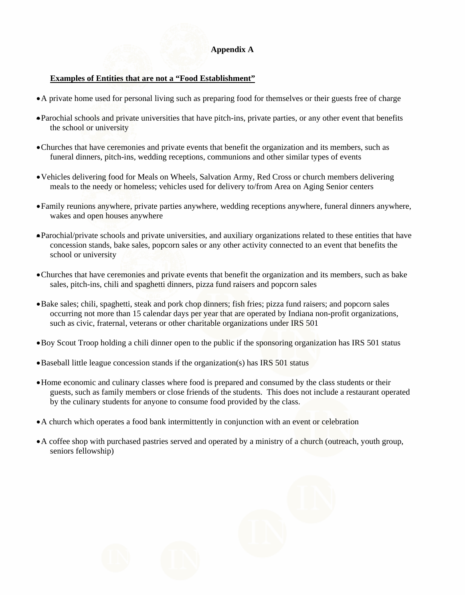#### **Appendix A**

#### **Examples of Entities that are not a "Food Establishment"**

- •A private home used for personal living such as preparing food for themselves or their guests free of charge
- •Parochial schools and private universities that have pitch-ins, private parties, or any other event that benefits the school or university
- •Churches that have ceremonies and private events that benefit the organization and its members, such as funeral dinners, pitch-ins, wedding receptions, communions and other similar types of events
- •Vehicles delivering food for Meals on Wheels, Salvation Army, Red Cross or church members delivering meals to the needy or homeless; vehicles used for delivery to/from Area on Aging Senior centers
- •Family reunions anywhere, private parties anywhere, wedding receptions anywhere, funeral dinners anywhere, wakes and open houses anywhere
- •Parochial/private schools and private universities, and auxiliary organizations related to these entities that have concession stands, bake sales, popcorn sales or any other activity connected to an event that benefits the school or university
- •Churches that have ceremonies and private events that benefit the organization and its members, such as bake sales, pitch-ins, chili and spaghetti dinners, pizza fund raisers and popcorn sales
- •Bake sales; chili, spaghetti, steak and pork chop dinners; fish fries; pizza fund raisers; and popcorn sales occurring not more than 15 calendar days per year that are operated by Indiana non-profit organizations, such as civic, fraternal, veterans or other charitable organizations under IRS 501
- •Boy Scout Troop holding a chili dinner open to the public if the sponsoring organization has IRS 501 status
- •Baseball little league concession stands if the organization(s) has IRS 501 status
- •Home economic and culinary classes where food is prepared and consumed by the class students or their guests, such as family members or close friends of the students. This does not include a restaurant operated by the culinary students for anyone to consume food provided by the class.
- •A church which operates a food bank intermittently in conjunction with an event or celebration
- •A coffee shop with purchased pastries served and operated by a ministry of a church (outreach, youth group, seniors fellowship)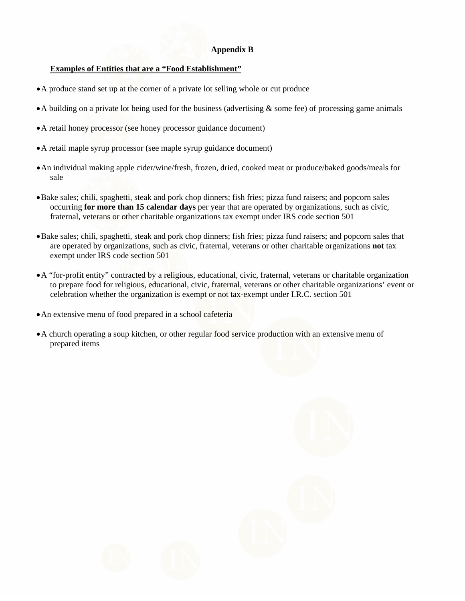#### **Appendix B**

#### **Examples of Entities that are a "Food Establishment"**

- •A produce stand set up at the corner of a private lot selling whole or cut produce
- A building on a private lot being used for the business (advertising  $\&$  some fee) of processing game animals
- •A retail honey processor (see honey processor guidance document)
- •A retail maple syrup processor (see maple syrup guidance document)
- •An individual making apple cider/wine/fresh, frozen, dried, cooked meat or produce/baked goods/meals for sale
- •Bake sales; chili, spaghetti, steak and pork chop dinners; fish fries; pizza fund raisers; and popcorn sales occurring **for more than 15 calendar days** per year that are operated by organizations, such as civic, fraternal, veterans or other charitable organizations tax exempt under IRS code section 501
- •Bake sales; chili, spaghetti, steak and pork chop dinners; fish fries; pizza fund raisers; and popcorn sales that are operated by organizations, such as civic, fraternal, veterans or other charitable organizations **not** tax exempt under IRS code section 501
- •A "for-profit entity" contracted by a religious, educational, civic, fraternal, veterans or charitable organization to prepare food for religious, educational, civic, fraternal, veterans or other charitable organizations' event or celebration whether the organization is exempt or not tax-exempt under I.R.C. section 501
- •An extensive menu of food prepared in a school cafeteria
- •A church operating a soup kitchen, or other regular food service production with an extensive menu of prepared items